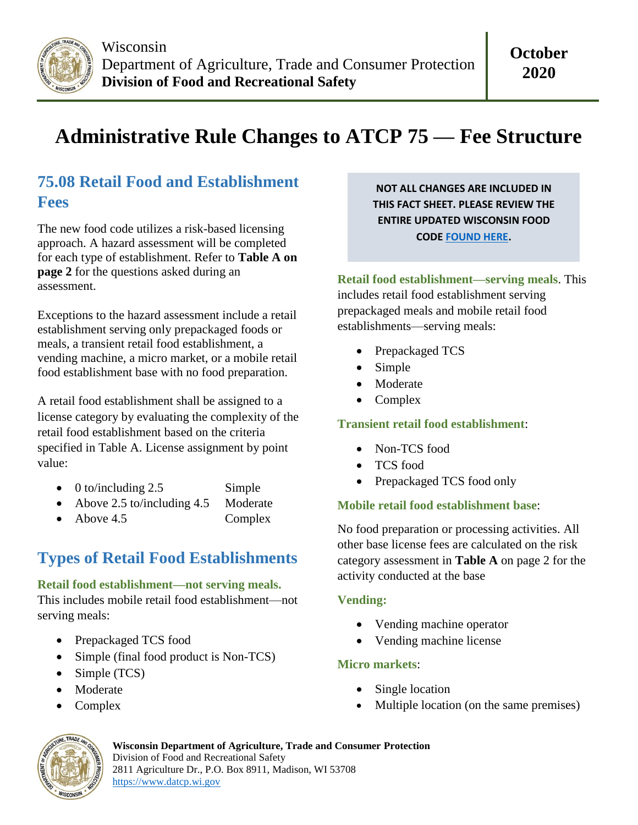

# **Administrative Rule Changes to ATCP 75 — Fee Structure**

### **75.08 Retail Food and Establishment Fees**

The new food code utilizes a risk-based licensing approach. A hazard assessment will be completed for each type of establishment. Refer to **Table A on page 2** for the questions asked during an assessment.

Exceptions to the hazard assessment include a retail establishment serving only prepackaged foods or meals, a transient retail food establishment, a vending machine, a micro market, or a mobile retail food establishment base with no food preparation.

A retail food establishment shall be assigned to a license category by evaluating the complexity of the retail food establishment based on the criteria specified in Table A. License assignment by point value:

- 0 to/including 2.5 Simple
- Above 2.5 to/including 4.5 Moderate
- Above 4.5 Complex

## **Types of Retail Food Establishments**

#### **Retail food establishment—not serving meals.**

This includes mobile retail food establishment—not serving meals:

- Prepackaged TCS food
- Simple (final food product is Non-TCS)
- Simple (TCS)
- Moderate
- Complex

**NOT ALL CHANGES ARE INCLUDED IN THIS FACT SHEET. PLEASE REVIEW THE ENTIRE UPDATED WISCONSIN FOOD CODE [FOUND HERE.](https://docs.legis.wisconsin.gov/code/admin_code/atcp/055/75_)**

**Retail food establishment—serving meals**. This includes retail food establishment serving prepackaged meals and mobile retail food establishments—serving meals:

- Prepackaged TCS
- Simple
- Moderate
- Complex

#### **Transient retail food establishment**:

- Non-TCS food
- TCS food
- Prepackaged TCS food only

#### **Mobile retail food establishment base**:

No food preparation or processing activities. All other base license fees are calculated on the risk category assessment in **Table A** on page 2 for the activity conducted at the base

#### **Vending:**

- Vending machine operator
- Vending machine license

#### **Micro markets**:

- Single location
- Multiple location (on the same premises)



**Wisconsin Department of Agriculture, Trade and Consumer Protection** Division of Food and Recreational Safety 2811 Agriculture Dr., P.O. Box 8911, Madison, WI 53708 [https://www.datcp.wi.gov](https://www.datcp.wi.gov/)